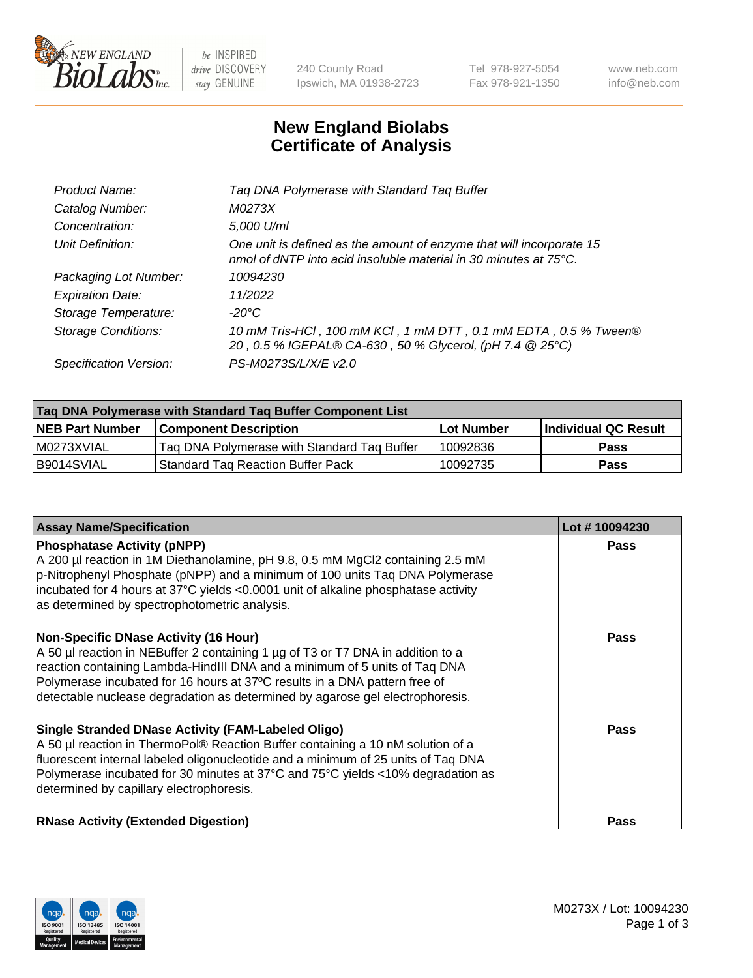

 $be$  INSPIRED drive DISCOVERY stay GENUINE

240 County Road Ipswich, MA 01938-2723 Tel 978-927-5054 Fax 978-921-1350 www.neb.com info@neb.com

## **New England Biolabs Certificate of Analysis**

| Tag DNA Polymerase with Standard Tag Buffer                                                                                              |
|------------------------------------------------------------------------------------------------------------------------------------------|
| M0273X                                                                                                                                   |
| 5,000 U/ml                                                                                                                               |
| One unit is defined as the amount of enzyme that will incorporate 15<br>nmol of dNTP into acid insoluble material in 30 minutes at 75°C. |
| 10094230                                                                                                                                 |
| 11/2022                                                                                                                                  |
| $-20^{\circ}$ C                                                                                                                          |
| 10 mM Tris-HCl, 100 mM KCl, 1 mM DTT, 0.1 mM EDTA, 0.5 % Tween®<br>20, 0.5 % IGEPAL® CA-630, 50 % Glycerol, (pH 7.4 @ 25°C)              |
| PS-M0273S/L/X/E v2.0                                                                                                                     |
|                                                                                                                                          |

| Tag DNA Polymerase with Standard Tag Buffer Component List |                                             |                   |                      |  |  |
|------------------------------------------------------------|---------------------------------------------|-------------------|----------------------|--|--|
| <b>NEB Part Number</b>                                     | Component Description_                      | <b>Lot Number</b> | Individual QC Result |  |  |
| M0273XVIAL                                                 | Tag DNA Polymerase with Standard Tag Buffer | 10092836          | Pass                 |  |  |
| B9014SVIAL                                                 | <b>Standard Tag Reaction Buffer Pack</b>    | 10092735          | <b>Pass</b>          |  |  |

| <b>Assay Name/Specification</b>                                                                                                                                                                                                                                                                                                                                              | Lot #10094230 |
|------------------------------------------------------------------------------------------------------------------------------------------------------------------------------------------------------------------------------------------------------------------------------------------------------------------------------------------------------------------------------|---------------|
| <b>Phosphatase Activity (pNPP)</b><br>A 200 µl reaction in 1M Diethanolamine, pH 9.8, 0.5 mM MgCl2 containing 2.5 mM<br>$\vert$ p-Nitrophenyl Phosphate (pNPP) and a minimum of 100 units Taq DNA Polymerase<br>incubated for 4 hours at 37°C yields <0.0001 unit of alkaline phosphatase activity<br>as determined by spectrophotometric analysis.                          | <b>Pass</b>   |
| <b>Non-Specific DNase Activity (16 Hour)</b><br>A 50 µl reaction in NEBuffer 2 containing 1 µg of T3 or T7 DNA in addition to a<br>reaction containing Lambda-HindIII DNA and a minimum of 5 units of Taq DNA<br>Polymerase incubated for 16 hours at 37°C results in a DNA pattern free of<br>detectable nuclease degradation as determined by agarose gel electrophoresis. | Pass          |
| Single Stranded DNase Activity (FAM-Labeled Oligo)<br>A 50 µl reaction in ThermoPol® Reaction Buffer containing a 10 nM solution of a<br>fluorescent internal labeled oligonucleotide and a minimum of 25 units of Taq DNA<br>Polymerase incubated for 30 minutes at 37°C and 75°C yields <10% degradation as<br>determined by capillary electrophoresis.                    | Pass          |
| <b>RNase Activity (Extended Digestion)</b>                                                                                                                                                                                                                                                                                                                                   | <b>Pass</b>   |

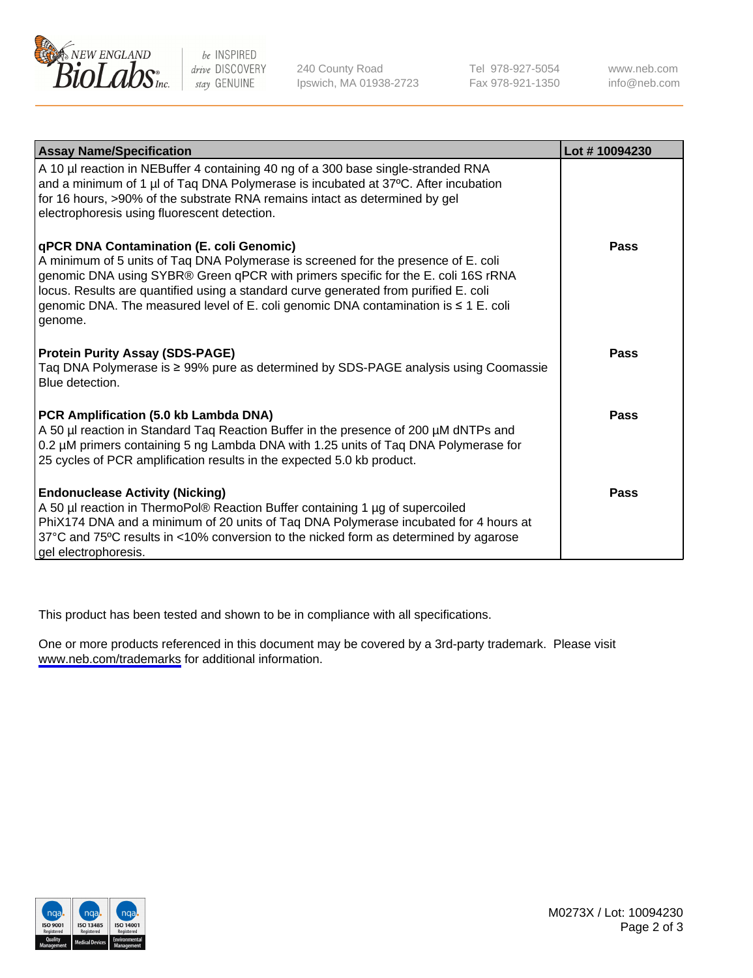

be INSPIRED drive DISCOVERY stay GENUINE

240 County Road Ipswich, MA 01938-2723 Tel 978-927-5054 Fax 978-921-1350

www.neb.com info@neb.com

| <b>Assay Name/Specification</b>                                                                                                                                                                                                                                                                                                                                                                                      | Lot #10094230 |
|----------------------------------------------------------------------------------------------------------------------------------------------------------------------------------------------------------------------------------------------------------------------------------------------------------------------------------------------------------------------------------------------------------------------|---------------|
| A 10 µl reaction in NEBuffer 4 containing 40 ng of a 300 base single-stranded RNA<br>and a minimum of 1 µl of Taq DNA Polymerase is incubated at 37°C. After incubation<br>for 16 hours, >90% of the substrate RNA remains intact as determined by gel<br>electrophoresis using fluorescent detection.                                                                                                               |               |
| <b>qPCR DNA Contamination (E. coli Genomic)</b><br>A minimum of 5 units of Taq DNA Polymerase is screened for the presence of E. coli<br>genomic DNA using SYBR® Green qPCR with primers specific for the E. coli 16S rRNA<br>locus. Results are quantified using a standard curve generated from purified E. coli<br>genomic DNA. The measured level of E. coli genomic DNA contamination is ≤ 1 E. coli<br>genome. | Pass          |
| <b>Protein Purity Assay (SDS-PAGE)</b><br>Taq DNA Polymerase is ≥ 99% pure as determined by SDS-PAGE analysis using Coomassie<br>Blue detection.                                                                                                                                                                                                                                                                     | Pass          |
| PCR Amplification (5.0 kb Lambda DNA)<br>A 50 µl reaction in Standard Taq Reaction Buffer in the presence of 200 µM dNTPs and<br>0.2 µM primers containing 5 ng Lambda DNA with 1.25 units of Taq DNA Polymerase for<br>25 cycles of PCR amplification results in the expected 5.0 kb product.                                                                                                                       | Pass          |
| <b>Endonuclease Activity (Nicking)</b><br>A 50 µl reaction in ThermoPol® Reaction Buffer containing 1 µg of supercoiled<br>PhiX174 DNA and a minimum of 20 units of Taq DNA Polymerase incubated for 4 hours at<br>37°C and 75°C results in <10% conversion to the nicked form as determined by agarose<br>gel electrophoresis.                                                                                      | Pass          |

This product has been tested and shown to be in compliance with all specifications.

One or more products referenced in this document may be covered by a 3rd-party trademark. Please visit <www.neb.com/trademarks>for additional information.